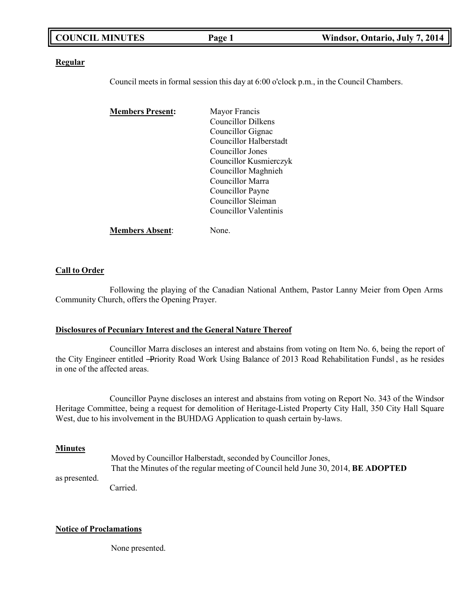| <b>COUNCIL MINUTES</b> | <sup>D</sup> age 1 | Windsor, Ontario, July 7, 2014 |
|------------------------|--------------------|--------------------------------|
|                        |                    |                                |

### **Regular**

Council meets in formal session this day at 6:00 o'clock p.m., in the Council Chambers.

| <b>Members Present:</b> | Mayor Francis                |
|-------------------------|------------------------------|
|                         | Councillor Dilkens           |
|                         | Councillor Gignac            |
|                         | Councillor Halberstadt       |
|                         | Councillor Jones             |
|                         | Councillor Kusmierczyk       |
|                         | Councillor Maghnieh          |
|                         | Councillor Marra             |
|                         | Councillor Payne             |
|                         | Councillor Sleiman           |
|                         | <b>Councillor Valentinis</b> |
| <b>Members Absent:</b>  | lone.                        |

### **Call to Order**

Following the playing of the Canadian National Anthem, Pastor Lanny Meier from Open Arms Community Church, offers the Opening Prayer.

### **Disclosures of Pecuniary Interest and the General Nature Thereof**

Councillor Marra discloses an interest and abstains from voting on Item No. 6, being the report of the City Engineer entitled -Priority Road Work Using Balance of 2013 Road Rehabilitation Fundsl, as he resides in one of the affected areas.

Councillor Payne discloses an interest and abstains from voting on Report No. 343 of the Windsor Heritage Committee, being a request for demolition of Heritage-Listed Property City Hall, 350 City Hall Square West, due to his involvement in the BUHDAG Application to quash certain by-laws.

### **Minutes**

as presented.

Moved by Councillor Halberstadt, seconded by Councillor Jones, That the Minutes of the regular meeting of Council held June 30, 2014, **BE ADOPTED**

Carried.

### **Notice of Proclamations**

None presented.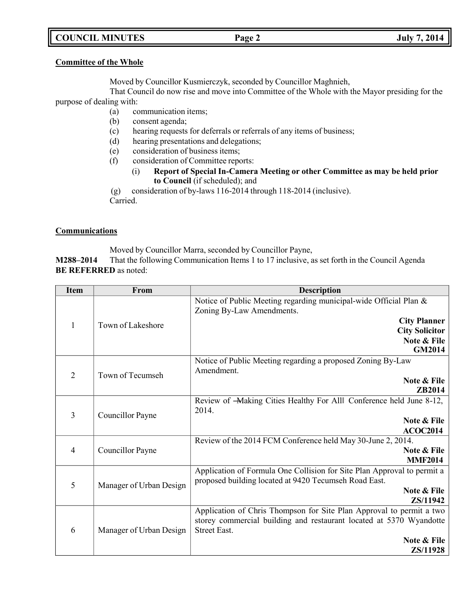# **COUNCIL MINUTES Page 2 July 7, 2014**

## **Committee of the Whole**

Moved by Councillor Kusmierczyk, seconded by Councillor Maghnieh,

That Council do now rise and move into Committee of the Whole with the Mayor presiding for the purpose of dealing with:

- (a) communication items;
- (b) consent agenda;
- (c) hearing requests for deferrals or referrals of any items of business;
- (d) hearing presentations and delegations;
- (e) consideration of business items;
- (f) consideration of Committee reports:
	- (i) **Report of Special In-Camera Meeting or other Committee as may be held prior to Council** (if scheduled); and

(g) consideration of by-laws 116-2014 through 118-2014 (inclusive).

Carried.

# **Communications**

Moved by Councillor Marra, seconded by Councillor Payne,

**M288–2014** That the following Communication Items 1 to 17 inclusive, as set forth in the Council Agenda **BE REFERRED** as noted:

| <b>Item</b>    | From                    | <b>Description</b>                                                                             |
|----------------|-------------------------|------------------------------------------------------------------------------------------------|
|                |                         | Notice of Public Meeting regarding municipal-wide Official Plan &<br>Zoning By-Law Amendments. |
|                |                         | <b>City Planner</b>                                                                            |
| 1              | Town of Lakeshore       | <b>City Solicitor</b>                                                                          |
|                |                         | Note & File                                                                                    |
|                |                         | <b>GM2014</b>                                                                                  |
|                |                         | Notice of Public Meeting regarding a proposed Zoning By-Law                                    |
| $\overline{2}$ | Town of Tecumseh        | Amendment.                                                                                     |
|                |                         | <b>Note &amp; File</b>                                                                         |
|                |                         | ZB2014                                                                                         |
|                | 3<br>Councillor Payne   | Review of -Making Cities Healthy For Alll Conference held June 8-12,                           |
|                |                         | 2014.                                                                                          |
|                |                         | Note & File<br><b>ACOC2014</b>                                                                 |
|                |                         | Review of the 2014 FCM Conference held May 30-June 2, 2014.                                    |
| $\overline{4}$ | Councillor Payne        | <b>Note &amp; File</b>                                                                         |
|                |                         | <b>MMF2014</b>                                                                                 |
|                |                         | Application of Formula One Collision for Site Plan Approval to permit a                        |
|                |                         | proposed building located at 9420 Tecumseh Road East.                                          |
| 5              | Manager of Urban Design | <b>Note &amp; File</b>                                                                         |
|                |                         | ZS/11942                                                                                       |
|                |                         | Application of Chris Thompson for Site Plan Approval to permit a two                           |
|                |                         | storey commercial building and restaurant located at 5370 Wyandotte                            |
| 6              | Manager of Urban Design | <b>Street East.</b>                                                                            |
|                |                         | Note & File                                                                                    |
|                |                         | ZS/11928                                                                                       |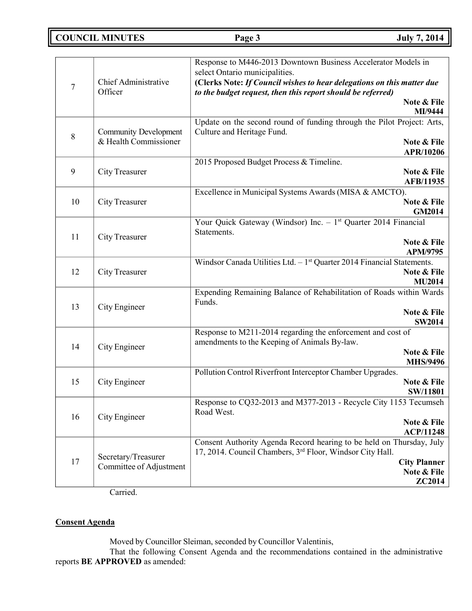# **COUNCIL MINUTES Page 3 July 7, 2014**

|                |                                 | Response to M446-2013 Downtown Business Accelerator Models in<br>select Ontario municipalities.                                       |
|----------------|---------------------------------|---------------------------------------------------------------------------------------------------------------------------------------|
| $\overline{7}$ | Chief Administrative<br>Officer | (Clerks Note: If Council wishes to hear delegations on this matter due<br>to the budget request, then this report should be referred) |
|                |                                 | Note & File                                                                                                                           |
|                |                                 | MI/9444                                                                                                                               |
|                | <b>Community Development</b>    | Update on the second round of funding through the Pilot Project: Arts,<br>Culture and Heritage Fund.                                  |
| 8              | & Health Commissioner           | Note & File                                                                                                                           |
|                |                                 | APR/10206                                                                                                                             |
|                |                                 | 2015 Proposed Budget Process & Timeline.                                                                                              |
| 9              | City Treasurer                  | Note & File                                                                                                                           |
|                |                                 | AFB/11935                                                                                                                             |
| 10             |                                 | Excellence in Municipal Systems Awards (MISA & AMCTO).                                                                                |
|                | City Treasurer                  | Note & File<br><b>GM2014</b>                                                                                                          |
|                |                                 | Your Quick Gateway (Windsor) $\overline{\text{Inc.} - 1^{\text{st}}}$ Quarter 2014 Financial                                          |
|                |                                 | Statements.                                                                                                                           |
| 11             | <b>City Treasurer</b>           | Note & File                                                                                                                           |
|                |                                 | <b>APM/9795</b>                                                                                                                       |
|                |                                 | Windsor Canada Utilities Ltd. $-1st$ Quarter 2014 Financial Statements.                                                               |
| 12             | City Treasurer                  | Note & File<br><b>MU2014</b>                                                                                                          |
|                |                                 | Expending Remaining Balance of Rehabilitation of Roads within Wards                                                                   |
|                |                                 | Funds.                                                                                                                                |
| 13             | City Engineer                   | Note & File                                                                                                                           |
|                |                                 | <b>SW2014</b>                                                                                                                         |
|                |                                 | Response to M211-2014 regarding the enforcement and cost of                                                                           |
| 14             | City Engineer                   | amendments to the Keeping of Animals By-law.                                                                                          |
|                |                                 | Note & File<br><b>MHS/9496</b>                                                                                                        |
|                |                                 | Pollution Control Riverfront Interceptor Chamber Upgrades.                                                                            |
| 15             | City Engineer                   | Note & File                                                                                                                           |
|                |                                 | <b>SW/11801</b>                                                                                                                       |
|                |                                 | Response to CQ32-2013 and M377-2013 - Recycle City 1153 Tecumseh                                                                      |
| 16             | City Engineer                   | Road West.                                                                                                                            |
|                |                                 | Note & File                                                                                                                           |
|                |                                 | <b>ACP/11248</b><br>Consent Authority Agenda Record hearing to be held on Thursday, July                                              |
|                |                                 | 17, 2014. Council Chambers, 3 <sup>rd</sup> Floor, Windsor City Hall.                                                                 |
| 17             | Secretary/Treasurer             | <b>City Planner</b>                                                                                                                   |
|                | Committee of Adjustment         | Note & File                                                                                                                           |
|                |                                 | ZC2014                                                                                                                                |

Carried.

# **Consent Agenda**

Moved by Councillor Sleiman, seconded by Councillor Valentinis,

That the following Consent Agenda and the recommendations contained in the administrative reports **BE APPROVED** as amended: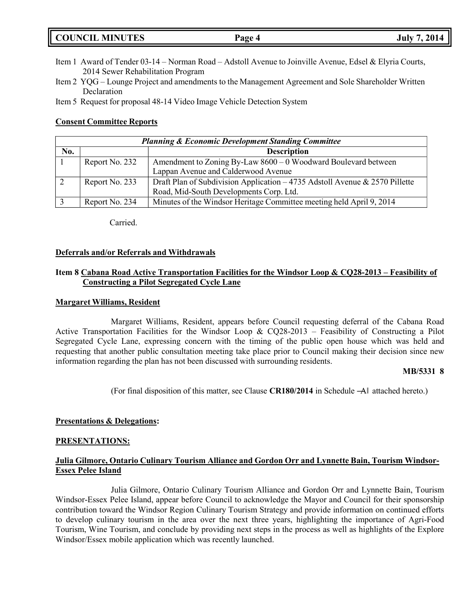# **COUNCIL MINUTES Page 4 July 7, 2014**

- Item 1 Award of Tender 03-14 Norman Road Adstoll Avenue to Joinville Avenue, Edsel & Elyria Courts, 2014 Sewer Rehabilitation Program
- Item 2 YQG Lounge Project and amendments to the Management Agreement and Sole Shareholder Written Declaration

Item 5 Request for proposal 48-14 Video Image Vehicle Detection System

## **Consent Committee Reports**

|     |                | <b>Planning &amp; Economic Development Standing Committee</b>               |
|-----|----------------|-----------------------------------------------------------------------------|
| No. |                | <b>Description</b>                                                          |
|     | Report No. 232 | Amendment to Zoning By-Law $8600 - 0$ Woodward Boulevard between            |
|     |                | Lappan Avenue and Calderwood Avenue                                         |
|     | Report No. 233 | Draft Plan of Subdivision Application - 4735 Adstoll Avenue & 2570 Pillette |
|     |                | Road, Mid-South Developments Corp. Ltd.                                     |
|     | Report No. 234 | Minutes of the Windsor Heritage Committee meeting held April 9, 2014        |

Carried.

## **Deferrals and/or Referrals and Withdrawals**

## **Item 8 Cabana Road Active Transportation Facilities for the Windsor Loop & CQ28-2013 – Feasibility of Constructing a Pilot Segregated Cycle Lane**

### **Margaret Williams, Resident**

Margaret Williams, Resident, appears before Council requesting deferral of the Cabana Road Active Transportation Facilities for the Windsor Loop & CQ28-2013 – Feasibility of Constructing a Pilot Segregated Cycle Lane, expressing concern with the timing of the public open house which was held and requesting that another public consultation meeting take place prior to Council making their decision since new information regarding the plan has not been discussed with surrounding residents.

## **MB/5331 8**

(For final disposition of this matter, see Clause **CR180/2014** in Schedule ―A‖ attached hereto.)

## **Presentations & Delegations:**

## **PRESENTATIONS:**

## **Julia Gilmore, Ontario Culinary Tourism Alliance and Gordon Orr and Lynnette Bain, Tourism Windsor-Essex Pelee Island**

Julia Gilmore, Ontario Culinary Tourism Alliance and Gordon Orr and Lynnette Bain, Tourism Windsor-Essex Pelee Island, appear before Council to acknowledge the Mayor and Council for their sponsorship contribution toward the Windsor Region Culinary Tourism Strategy and provide information on continued efforts to develop culinary tourism in the area over the next three years, highlighting the importance of Agri-Food Tourism, Wine Tourism, and conclude by providing next steps in the process as well as highlights of the Explore Windsor/Essex mobile application which was recently launched.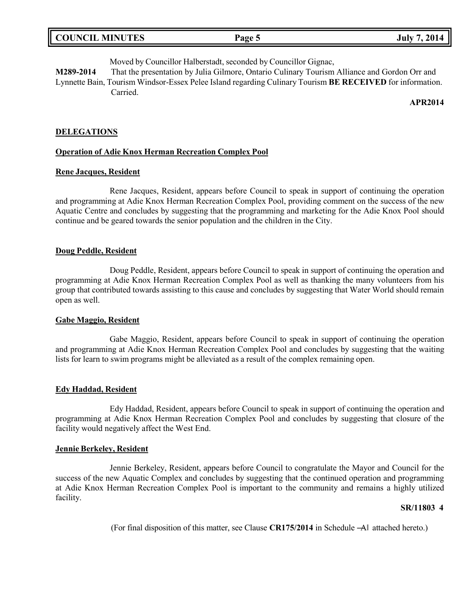| <b>COUNCIL MINUTES</b> | Page 5 | 7, 2014<br>July 7 |
|------------------------|--------|-------------------|
|                        |        |                   |

Moved by Councillor Halberstadt, seconded by Councillor Gignac,

**M289-2014** That the presentation by Julia Gilmore, Ontario Culinary Tourism Alliance and Gordon Orr and Lynnette Bain, Tourism Windsor-Essex Pelee Island regarding Culinary Tourism **BE RECEIVED** for information. Carried.

**APR2014**

### **DELEGATIONS**

#### **Operation of Adie Knox Herman Recreation Complex Pool**

### **Rene Jacques, Resident**

Rene Jacques, Resident, appears before Council to speak in support of continuing the operation and programming at Adie Knox Herman Recreation Complex Pool, providing comment on the success of the new Aquatic Centre and concludes by suggesting that the programming and marketing for the Adie Knox Pool should continue and be geared towards the senior population and the children in the City.

### **Doug Peddle, Resident**

Doug Peddle, Resident, appears before Council to speak in support of continuing the operation and programming at Adie Knox Herman Recreation Complex Pool as well as thanking the many volunteers from his group that contributed towards assisting to this cause and concludes by suggesting that Water World should remain open as well.

### **Gabe Maggio, Resident**

Gabe Maggio, Resident, appears before Council to speak in support of continuing the operation and programming at Adie Knox Herman Recreation Complex Pool and concludes by suggesting that the waiting lists for learn to swim programs might be alleviated as a result of the complex remaining open.

### **Edy Haddad, Resident**

Edy Haddad, Resident, appears before Council to speak in support of continuing the operation and programming at Adie Knox Herman Recreation Complex Pool and concludes by suggesting that closure of the facility would negatively affect the West End.

### **Jennie Berkeley, Resident**

Jennie Berkeley, Resident, appears before Council to congratulate the Mayor and Council for the success of the new Aquatic Complex and concludes by suggesting that the continued operation and programming at Adie Knox Herman Recreation Complex Pool is important to the community and remains a highly utilized facility.

### **SR/11803 4**

(For final disposition of this matter, see Clause **CR175/2014** in Schedule ―A‖ attached hereto.)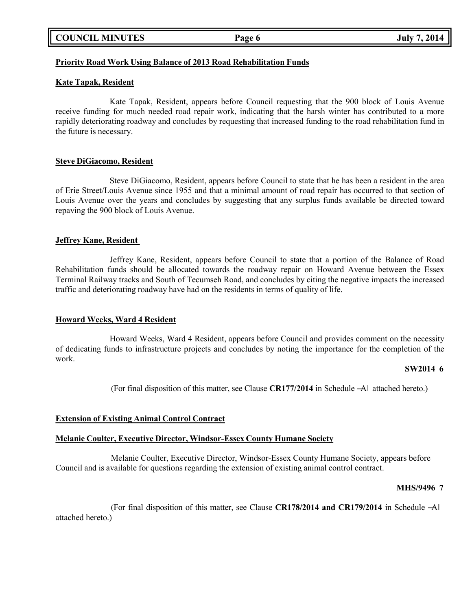|  | <b>COUNCIL MINUTES</b> |
|--|------------------------|
|--|------------------------|

## **Priority Road Work Using Balance of 2013 Road Rehabilitation Funds**

## **Kate Tapak, Resident**

Kate Tapak, Resident, appears before Council requesting that the 900 block of Louis Avenue receive funding for much needed road repair work, indicating that the harsh winter has contributed to a more rapidly deteriorating roadway and concludes by requesting that increased funding to the road rehabilitation fund in the future is necessary.

### **Steve DiGiacomo, Resident**

Steve DiGiacomo, Resident, appears before Council to state that he has been a resident in the area of Erie Street/Louis Avenue since 1955 and that a minimal amount of road repair has occurred to that section of Louis Avenue over the years and concludes by suggesting that any surplus funds available be directed toward repaving the 900 block of Louis Avenue.

### **Jeffrey Kane, Resident**

Jeffrey Kane, Resident, appears before Council to state that a portion of the Balance of Road Rehabilitation funds should be allocated towards the roadway repair on Howard Avenue between the Essex Terminal Railway tracks and South of Tecumseh Road, and concludes by citing the negative impacts the increased traffic and deteriorating roadway have had on the residents in terms of quality of life.

### **Howard Weeks, Ward 4 Resident**

Howard Weeks, Ward 4 Resident, appears before Council and provides comment on the necessity of dedicating funds to infrastructure projects and concludes by noting the importance for the completion of the work.

### **SW2014 6**

(For final disposition of this matter, see Clause **CR177/2014** in Schedule ―A‖ attached hereto.)

## **Extension of Existing Animal Control Contract**

### **Melanie Coulter, Executive Director, Windsor-Essex County Humane Society**

Melanie Coulter, Executive Director, Windsor-Essex County Humane Society, appears before Council and is available for questions regarding the extension of existing animal control contract.

### **MHS/9496 7**

(For final disposition of this matter, see Clause **CR178/2014 and CR179/2014** in Schedule ―A‖ attached hereto.)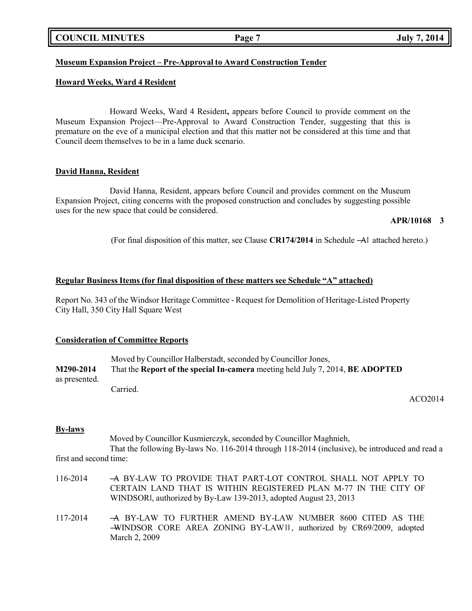|  | <b>COUNCIL MINUTES</b> |
|--|------------------------|
|--|------------------------|

## **Museum Expansion Project – Pre-Approval to Award Construction Tender**

## **Howard Weeks, Ward 4 Resident**

Howard Weeks, Ward 4 Resident**,** appears before Council to provide comment on the Museum Expansion Project—Pre-Approval to Award Construction Tender, suggesting that this is premature on the eve of a municipal election and that this matter not be considered at this time and that Council deem themselves to be in a lame duck scenario.

## **David Hanna, Resident**

David Hanna, Resident, appears before Council and provides comment on the Museum Expansion Project, citing concerns with the proposed construction and concludes by suggesting possible uses for the new space that could be considered.

## **APR/10168 3**

(For final disposition of this matter, see Clause **CR174/2014** in Schedule ―A‖ attached hereto.)

## **Regular Business Items (for final disposition of these matters see Schedule "A" attached)**

Report No. 343 of the Windsor Heritage Committee - Request for Demolition of Heritage-Listed Property City Hall, 350 City Hall Square West

## **Consideration of Committee Reports**

Moved by Councillor Halberstadt, seconded by Councillor Jones, **M290-2014** That the **Report of the special In-camera** meeting held July 7, 2014, **BE ADOPTED** as presented. Carried.

ACO2014

## **By-laws**

Moved by Councillor Kusmierczyk, seconded by Councillor Maghnieh,

That the following By-laws No. 116-2014 through 118-2014 (inclusive), be introduced and read a first and second time:

- 116-2014 ―A BY-LAW TO PROVIDE THAT PART-LOT CONTROL SHALL NOT APPLY TO CERTAIN LAND THAT IS WITHIN REGISTERED PLAN M-77 IN THE CITY OF WINDSOR‖, authorized by By-Law 139-2013, adopted August 23, 2013
- 117-2014 ―A BY-LAW TO FURTHER AMEND BY-LAW NUMBER 8600 CITED AS THE ―WINDSOR CORE AREA ZONING BY-LAW‖‖ , authorized by CR69/2009, adopted March 2, 2009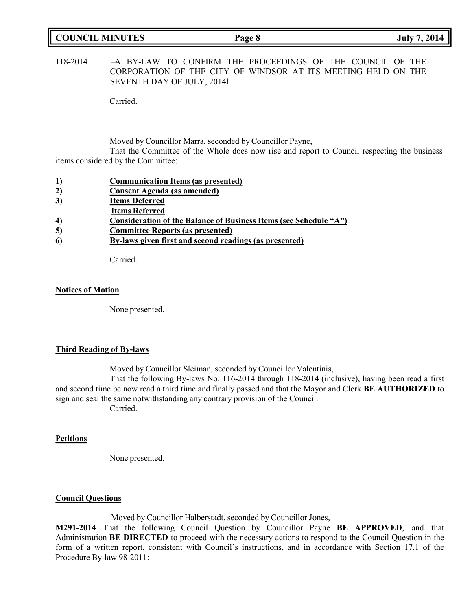| <b>COUNCIL MINUTES</b> | Page 8 | <b>July 7, 2014</b> |
|------------------------|--------|---------------------|
|                        |        |                     |

118-2014 ―A BY-LAW TO CONFIRM THE PROCEEDINGS OF THE COUNCIL OF THE CORPORATION OF THE CITY OF WINDSOR AT ITS MEETING HELD ON THE SEVENTH DAY OF JULY, 2014‖

Carried.

Moved by Councillor Marra, seconded by Councillor Payne,

That the Committee of the Whole does now rise and report to Council respecting the business items considered by the Committee:

- **2) Consent Agenda (as amended)**
- **3) Items Deferred**
- **Items Referred**
- **4) Consideration of the Balance of Business Items (see Schedule "A")**
- **5) Committee Reports (as presented)**
- **6) By-laws given first and second readings (as presented)**

Carried.

### **Notices of Motion**

None presented.

### **Third Reading of By-laws**

Moved by Councillor Sleiman, seconded by Councillor Valentinis,

That the following By-laws No. 116-2014 through 118-2014 (inclusive), having been read a first and second time be now read a third time and finally passed and that the Mayor and Clerk **BE AUTHORIZED** to sign and seal the same notwithstanding any contrary provision of the Council.

Carried.

### **Petitions**

None presented.

### **Council Questions**

Moved by Councillor Halberstadt, seconded by Councillor Jones,

**M291-2014** That the following Council Question by Councillor Payne **BE APPROVED**, and that Administration **BE DIRECTED** to proceed with the necessary actions to respond to the Council Question in the form of a written report, consistent with Council's instructions, and in accordance with Section 17.1 of the Procedure By-law 98-2011: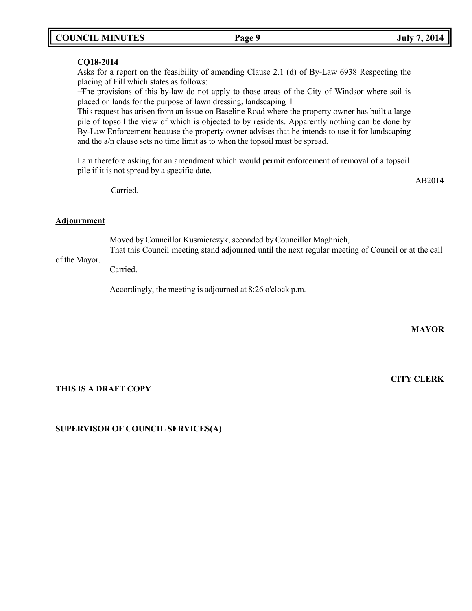# **COUNCIL MINUTES Page 9 July 7, 2014**

## **CQ18-2014**

Asks for a report on the feasibility of amending Clause 2.1 (d) of By-Law 6938 Respecting the placing of Fill which states as follows:

―The provisions of this by-law do not apply to those areas of the City of Windsor where soil is placed on lands for the purpose of lawn dressing, landscaping ‖

This request has arisen from an issue on Baseline Road where the property owner has built a large pile of topsoil the view of which is objected to by residents. Apparently nothing can be done by By-Law Enforcement because the property owner advises that he intends to use it for landscaping and the a/n clause sets no time limit as to when the topsoil must be spread.

I am therefore asking for an amendment which would permit enforcement of removal of a topsoil pile if it is not spread by a specific date.

Carried.

## **Adjournment**

Moved by Councillor Kusmierczyk, seconded by Councillor Maghnieh,

of the Mayor. That this Council meeting stand adjourned until the next regular meeting of Council or at the call

Carried.

Accordingly, the meeting is adjourned at 8:26 o'clock p.m.

**MAYOR**

**CITY CLERK**

AB2014

## **THIS IS A DRAFT COPY**

# **SUPERVISOR OF COUNCIL SERVICES(A)**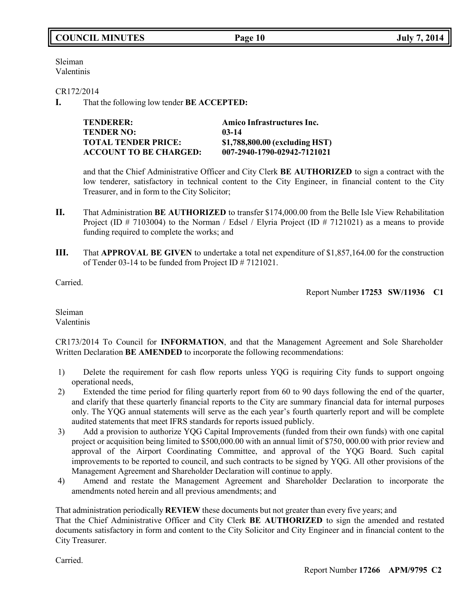Sleiman Valentinis

CR172/2014

**I.** That the following low tender **BE ACCEPTED:**

| <b>TENDERER:</b>              | Amico Infrastructures Inc.     |
|-------------------------------|--------------------------------|
| <b>TENDER NO:</b>             | $03-14$                        |
| <b>TOTAL TENDER PRICE:</b>    | \$1,788,800.00 (excluding HST) |
| <b>ACCOUNT TO BE CHARGED:</b> | 007-2940-1790-02942-7121021    |

and that the Chief Administrative Officer and City Clerk **BE AUTHORIZED** to sign a contract with the low tenderer, satisfactory in technical content to the City Engineer, in financial content to the City Treasurer, and in form to the City Solicitor;

- **II.** That Administration **BE AUTHORIZED** to transfer \$174,000.00 from the Belle Isle View Rehabilitation Project (ID  $\#$  7103004) to the Norman / Edsel / Elyria Project (ID  $\#$  7121021) as a means to provide funding required to complete the works; and
- **III.** That **APPROVAL BE GIVEN** to undertake a total net expenditure of \$1,857,164.00 for the construction of Tender 03-14 to be funded from Project ID # 7121021.

Carried.

Report Number **17253 SW/11936 C1**

Sleiman Valentinis

CR173/2014 To Council for **INFORMATION**, and that the Management Agreement and Sole Shareholder Written Declaration **BE AMENDED** to incorporate the following recommendations:

- 1) Delete the requirement for cash flow reports unless YQG is requiring City funds to support ongoing operational needs,
- 2) Extended the time period for filing quarterly report from 60 to 90 days following the end of the quarter, and clarify that these quarterly financial reports to the City are summary financial data for internal purposes only. The YQG annual statements will serve as the each year's fourth quarterly report and will be complete audited statements that meet IFRS standards for reports issued publicly.
- 3) Add a provision to authorize YQG Capital Improvements (funded from their own funds) with one capital project or acquisition being limited to \$500,000.00 with an annual limit of \$750, 000.00 with prior review and approval of the Airport Coordinating Committee, and approval of the YQG Board. Such capital improvements to be reported to council, and such contracts to be signed by YQG. All other provisions of the Management Agreement and Shareholder Declaration will continue to apply.
- 4) Amend and restate the Management Agreement and Shareholder Declaration to incorporate the amendments noted herein and all previous amendments; and

That administration periodically **REVIEW** these documents but not greater than every five years; and That the Chief Administrative Officer and City Clerk **BE AUTHORIZED** to sign the amended and restated documents satisfactory in form and content to the City Solicitor and City Engineer and in financial content to the City Treasurer.

Carried.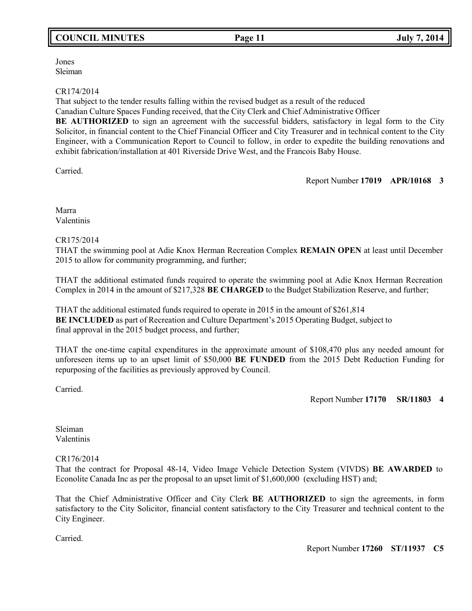# **COUNCIL MINUTES Page 11 July 7, 2014**

Jones Sleiman

## CR174/2014

That subject to the tender results falling within the revised budget as a result of the reduced

Canadian Culture Spaces Funding received, that the City Clerk and Chief Administrative Officer

**BE AUTHORIZED** to sign an agreement with the successful bidders, satisfactory in legal form to the City Solicitor, in financial content to the Chief Financial Officer and City Treasurer and in technical content to the City Engineer, with a Communication Report to Council to follow, in order to expedite the building renovations and exhibit fabrication/installation at 401 Riverside Drive West, and the Francois Baby House.

Carried.

Report Number **17019 APR/10168 3**

Marra Valentinis

# CR175/2014

THAT the swimming pool at Adie Knox Herman Recreation Complex **REMAIN OPEN** at least until December 2015 to allow for community programming, and further;

THAT the additional estimated funds required to operate the swimming pool at Adie Knox Herman Recreation Complex in 2014 in the amount of \$217,328 **BE CHARGED** to the Budget Stabilization Reserve, and further;

THAT the additional estimated funds required to operate in 2015 in the amount of \$261,814 **BE INCLUDED** as part of Recreation and Culture Department's 2015 Operating Budget, subject to final approval in the 2015 budget process, and further;

THAT the one-time capital expenditures in the approximate amount of \$108,470 plus any needed amount for unforeseen items up to an upset limit of \$50,000 **BE FUNDED** from the 2015 Debt Reduction Funding for repurposing of the facilities as previously approved by Council.

Carried.

Report Number **17170 SR/11803 4**

Sleiman Valentinis

# CR176/2014

That the contract for Proposal 48-14, Video Image Vehicle Detection System (VIVDS) **BE AWARDED** to Econolite Canada Inc as per the proposal to an upset limit of \$1,600,000 (excluding HST) and;

That the Chief Administrative Officer and City Clerk **BE AUTHORIZED** to sign the agreements, in form satisfactory to the City Solicitor, financial content satisfactory to the City Treasurer and technical content to the City Engineer.

Carried.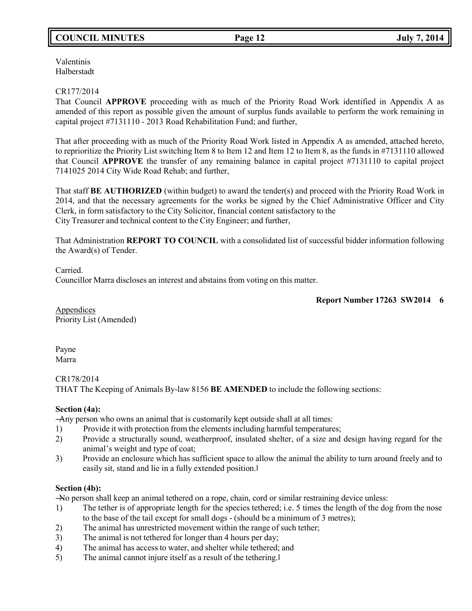# **COUNCIL MINUTES Page 12 July 7, 2014**

Valentinis Halberstadt

## CR177/2014

That Council **APPROVE** proceeding with as much of the Priority Road Work identified in Appendix A as amended of this report as possible given the amount of surplus funds available to perform the work remaining in capital project #7131110 - 2013 Road Rehabilitation Fund; and further,

That after proceeding with as much of the Priority Road Work listed in Appendix A as amended, attached hereto, to reprioritize the Priority List switching Item 8 to Item 12 and Item 12 to Item 8, as the funds in #7131110 allowed that Council **APPROVE** the transfer of any remaining balance in capital project #7131110 to capital project 7141025 2014 City Wide Road Rehab; and further,

That staff **BE AUTHORIZED** (within budget) to award the tender(s) and proceed with the Priority Road Work in 2014, and that the necessary agreements for the works be signed by the Chief Administrative Officer and City Clerk, in form satisfactory to the City Solicitor, financial content satisfactory to the City Treasurer and technical content to the City Engineer; and further,

That Administration **REPORT TO COUNCIL** with a consolidated list of successful bidder information following the Award(s) of Tender.

Carried.

Councillor Marra discloses an interest and abstains from voting on this matter.

### **Report Number 17263 SW2014 6**

**Appendices** Priority List (Amended)

Payne Marra

CR178/2014 THAT The Keeping of Animals By-law 8156 **BE AMENDED** to include the following sections:

## **Section (4a):**

―Any person who owns an animal that is customarily kept outside shall at all times:

- 1) Provide it with protection from the elements including harmful temperatures;
- 2) Provide a structurally sound, weatherproof, insulated shelter, of a size and design having regard for the animal's weight and type of coat;
- 3) Provide an enclosure which has sufficient space to allow the animal the ability to turn around freely and to easily sit, stand and lie in a fully extended position.‖

## **Section (4b):**

―No person shall keep an animal tethered on a rope, chain, cord or similar restraining device unless:

- 1) The tether is of appropriate length for the species tethered; i.e. 5 times the length of the dog from the nose to the base of the tail except for small dogs - (should be a minimum of 3 metres);
- 2) The animal has unrestricted movement within the range of such tether;
- 3) The animal is not tethered for longer than 4 hours per day;
- 4) The animal has access to water, and shelter while tethered; and
- 5) The animal cannot injure itself as a result of the tethering.‖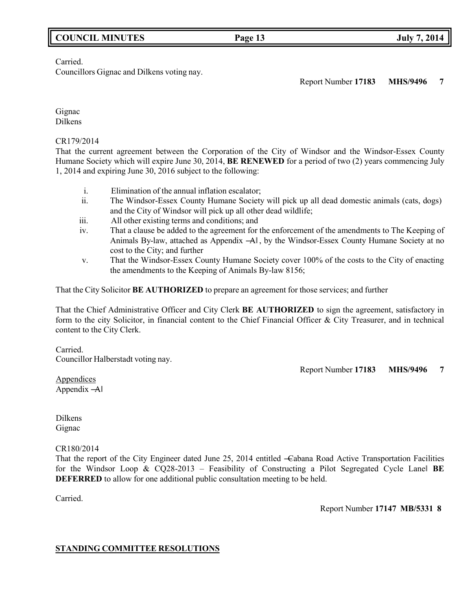# **COUNCIL MINUTES Page 13 July 7, 2014**

Carried.

Councillors Gignac and Dilkens voting nay.

Report Number **17183 MHS/9496 7**

Gignac Dilkens

CR179/2014

That the current agreement between the Corporation of the City of Windsor and the Windsor-Essex County Humane Society which will expire June 30, 2014, **BE RENEWED** for a period of two (2) years commencing July 1, 2014 and expiring June 30, 2016 subject to the following:

- i. Elimination of the annual inflation escalator;
- ii. The Windsor-Essex County Humane Society will pick up all dead domestic animals (cats, dogs) and the City of Windsor will pick up all other dead wildlife;
- iii. All other existing terms and conditions; and
- iv. That a clause be added to the agreement for the enforcement of the amendments to The Keeping of Animals By-law, attached as Appendix ―A‖ , by the Windsor-Essex County Humane Society at no cost to the City; and further
- v. That the Windsor-Essex County Humane Society cover 100% of the costs to the City of enacting the amendments to the Keeping of Animals By-law 8156;

That the City Solicitor **BE AUTHORIZED** to prepare an agreement for those services; and further

That the Chief Administrative Officer and City Clerk **BE AUTHORIZED** to sign the agreement, satisfactory in form to the city Solicitor, in financial content to the Chief Financial Officer & City Treasurer, and in technical content to the City Clerk.

Carried. Councillor Halberstadt voting nay.

Report Number **17183 MHS/9496 7**

**Appendices** Appendix ―A‖

Dilkens Gignac

CR180/2014

That the report of the City Engineer dated June 25, 2014 entitled ―Cabana Road Active Transportation Facilities for the Windsor Loop & CQ28-2013 – Feasibility of Constructing a Pilot Segregated Cycle Lane‖ **BE DEFERRED** to allow for one additional public consultation meeting to be held.

Carried.

Report Number **17147 MB/5331 8**

## **STANDING COMMITTEE RESOLUTIONS**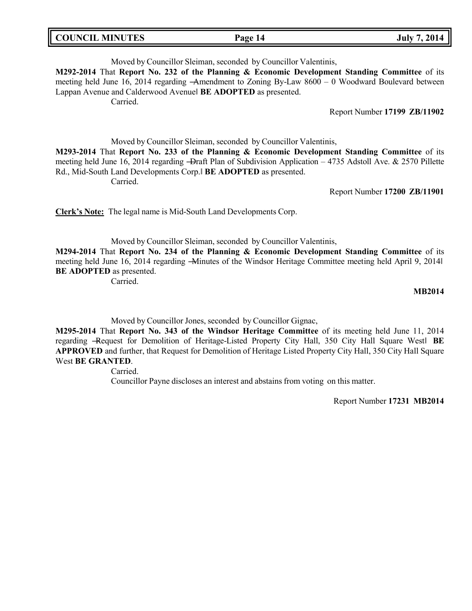| <b>COUNCIL MINUTES</b><br><b>July 7, 2014</b><br>Page 14 |
|----------------------------------------------------------|
|----------------------------------------------------------|

Moved by Councillor Sleiman, seconded by Councillor Valentinis, **M292-2014** That **Report No. 232 of the Planning & Economic Development Standing Committee** of its meeting held June 16, 2014 regarding ―Amendment to Zoning By-Law 8600 – 0 Woodward Boulevard between Lappan Avenue and Calderwood Avenue‖ **BE ADOPTED** as presented. Carried.

Report Number **17199 ZB/11902**

Moved by Councillor Sleiman, seconded by Councillor Valentinis,

**M293-2014** That **Report No. 233 of the Planning & Economic Development Standing Committee** of its meeting held June 16, 2014 regarding -Draft Plan of Subdivision Application – 4735 Adstoll Ave. & 2570 Pillette Rd., Mid-South Land Developments Corp.‖ **BE ADOPTED** as presented. Carried.

Report Number **17200 ZB/11901**

**Clerk's Note:** The legal name is Mid-South Land Developments Corp.

Moved by Councillor Sleiman, seconded by Councillor Valentinis,

**M294-2014** That **Report No. 234 of the Planning & Economic Development Standing Committee** of its meeting held June 16, 2014 regarding ―Minutes of the Windsor Heritage Committee meeting held April 9, 2014‖ **BE ADOPTED** as presented.

Carried.

**MB2014**

Moved by Councillor Jones, seconded by Councillor Gignac,

**M295-2014** That **Report No. 343 of the Windsor Heritage Committee** of its meeting held June 11, 2014 regarding ―Request for Demolition of Heritage-Listed Property City Hall, 350 City Hall Square West‖ **BE APPROVED** and further, that Request for Demolition of Heritage Listed Property City Hall, 350 City Hall Square West **BE GRANTED**.

Carried.

Councillor Payne discloses an interest and abstains from voting on this matter.

Report Number **17231 MB2014**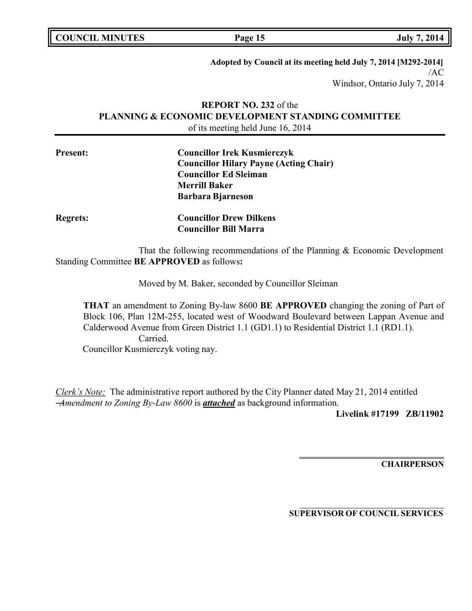| <b>COUNCIL MINUTES</b> |  |
|------------------------|--|
|------------------------|--|

**COUNCIL EXECUTE:** FOR THE PAGE 15

**Adopted by Council at its meeting held July 7, 2014 [M292-2014]** /AC Windsor, Ontario July 7, 2014

# **REPORT NO. 232** of the **PLANNING & ECONOMIC DEVELOPMENT STANDING COMMITTEE** of its meeting held June 16, 2014

| <b>Present:</b> | <b>Councillor Irek Kusmierczyk</b>            |
|-----------------|-----------------------------------------------|
|                 | <b>Councillor Hilary Payne (Acting Chair)</b> |
|                 | <b>Councillor Ed Sleiman</b>                  |
|                 | <b>Merrill Baker</b>                          |
|                 | <b>Barbara Bjarneson</b>                      |

That the following recommendations of the Planning & Economic Development

**Councillor Bill Marra**

Standing Committee **BE APPROVED** as follows**:**

**Regrets: Councillor Drew Dilkens**

Moved by M. Baker, seconded by Councillor Sleiman

**THAT** an amendment to Zoning By-law 8600 **BE APPROVED** changing the zoning of Part of Block 106, Plan 12M-255, located west of Woodward Boulevard between Lappan Avenue and Calderwood Avenue from Green District 1.1 (GD1.1) to Residential District 1.1 (RD1.1). Carried. Councillor Kusmierczyk voting nay.

*Clerk's Note:* The administrative report authored by the City Planner dated May 21, 2014 entitled ―*Amendment to Zoning By-Law 8600* is *attached* as background information.

**Livelink #17199 ZB/11902**

**CHAIRPERSON**

**SUPERVISOR OF COUNCIL SERVICES**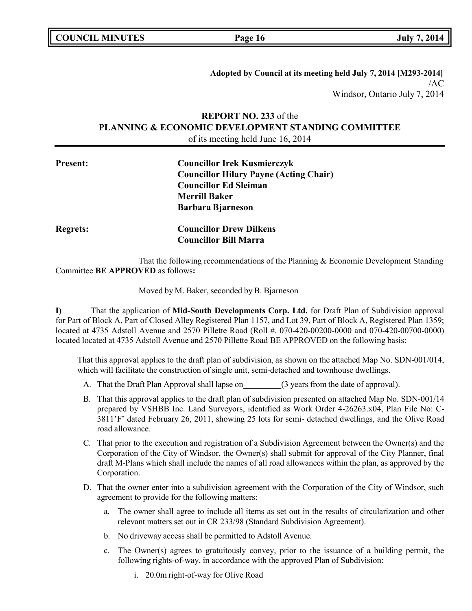**COUNCIL MINUTES Page 16 July 7, 2014**

**Adopted by Council at its meeting held July 7, 2014 [M293-2014]** /AC Windsor, Ontario July 7, 2014

# **REPORT NO. 233** of the **PLANNING & ECONOMIC DEVELOPMENT STANDING COMMITTEE** of its meeting held June 16, 2014

| <b>Present:</b> | <b>Councillor Irek Kusmierczyk</b>            |  |
|-----------------|-----------------------------------------------|--|
|                 | <b>Councillor Hilary Payne (Acting Chair)</b> |  |
|                 | <b>Councillor Ed Sleiman</b>                  |  |
|                 | <b>Merrill Baker</b>                          |  |
|                 | <b>Barbara Bjarneson</b>                      |  |
| <b>Regrets:</b> | <b>Councillor Drew Dilkens</b>                |  |
|                 | <b>Councillor Bill Marra</b>                  |  |

That the following recommendations of the Planning & Economic Development Standing Committee **BE APPROVED** as follows**:**

Moved by M. Baker, seconded by B. Bjarneson

**I)** That the application of **Mid-South Developments Corp. Ltd.** for Draft Plan of Subdivision approval for Part of Block A, Part of Closed Alley Registered Plan 1157, and Lot 39, Part of Block A, Registered Plan 1359; located at 4735 Adstoll Avenue and 2570 Pillette Road (Roll #. 070-420-00200-0000 and 070-420-00700-0000) located located at 4735 Adstoll Avenue and 2570 Pillette Road BE APPROVED on the following basis:

That this approval applies to the draft plan of subdivision, as shown on the attached Map No. SDN-001/014, which will facilitate the construction of single unit, semi-detached and townhouse dwellings.

- A. That the Draft Plan Approval shall lapse on (3 years from the date of approval).
- B. That this approval applies to the draft plan of subdivision presented on attached Map No. SDN-001/14 prepared by VSHBB Inc. Land Surveyors, identified as Work Order 4-26263.x04, Plan File No: C-3811'F' dated February 26, 2011, showing 25 lots for semi- detached dwellings, and the Olive Road road allowance.
- C. That prior to the execution and registration of a Subdivision Agreement between the Owner(s) and the Corporation of the City of Windsor, the Owner(s) shall submit for approval of the City Planner, final draft M-Plans which shall include the names of all road allowances within the plan, as approved by the Corporation.
- D. That the owner enter into a subdivision agreement with the Corporation of the City of Windsor, such agreement to provide for the following matters:
	- a. The owner shall agree to include all items as set out in the results of circularization and other relevant matters set out in CR 233/98 (Standard Subdivision Agreement).
	- b. No driveway access shall be permitted to Adstoll Avenue.
	- c. The Owner(s) agrees to gratuitously convey, prior to the issuance of a building permit, the following rights-of-way, in accordance with the approved Plan of Subdivision:
		- i. 20.0m right-of-way for Olive Road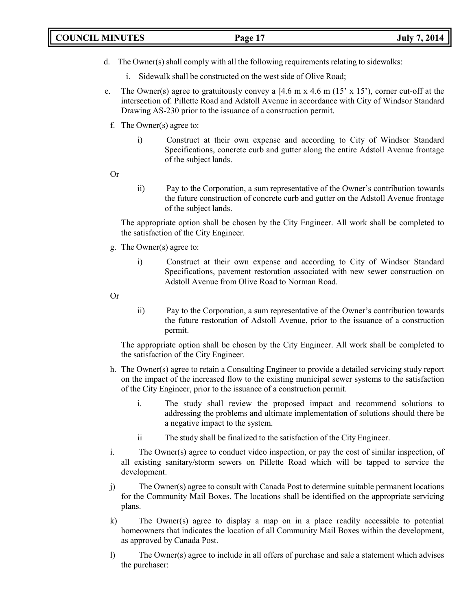# **COUNCIL MINUTES Page 17 July 7, 2014**

- d. The Owner(s) shall comply with all the following requirements relating to sidewalks:
	- i. Sidewalk shall be constructed on the west side of Olive Road;
- e. The Owner(s) agree to gratuitously convey a  $[4.6 \text{ m} \times 4.6 \text{ m} (15' \times 15')]$ , corner cut-off at the intersection of. Pillette Road and Adstoll Avenue in accordance with City of Windsor Standard Drawing AS-230 prior to the issuance of a construction permit.
	- f. The Owner(s) agree to:
		- i) Construct at their own expense and according to City of Windsor Standard Specifications, concrete curb and gutter along the entire Adstoll Avenue frontage of the subject lands.
	- Or
- ii) Pay to the Corporation, a sum representative of the Owner's contribution towards the future construction of concrete curb and gutter on the Adstoll Avenue frontage of the subject lands.

The appropriate option shall be chosen by the City Engineer. All work shall be completed to the satisfaction of the City Engineer.

- g. The Owner(s) agree to:
	- i) Construct at their own expense and according to City of Windsor Standard Specifications, pavement restoration associated with new sewer construction on Adstoll Avenue from Olive Road to Norman Road.
- Or
- ii) Pay to the Corporation, a sum representative of the Owner's contribution towards the future restoration of Adstoll Avenue, prior to the issuance of a construction permit.

The appropriate option shall be chosen by the City Engineer. All work shall be completed to the satisfaction of the City Engineer.

- h. The Owner(s) agree to retain a Consulting Engineer to provide a detailed servicing study report on the impact of the increased flow to the existing municipal sewer systems to the satisfaction of the City Engineer, prior to the issuance of a construction permit.
	- i. The study shall review the proposed impact and recommend solutions to addressing the problems and ultimate implementation of solutions should there be a negative impact to the system.
	- ii The study shall be finalized to the satisfaction of the City Engineer.
- i. The Owner(s) agree to conduct video inspection, or pay the cost of similar inspection, of all existing sanitary/storm sewers on Pillette Road which will be tapped to service the development.
- j) The Owner(s) agree to consult with Canada Post to determine suitable permanent locations for the Community Mail Boxes. The locations shall be identified on the appropriate servicing plans.
- k) The Owner(s) agree to display a map on in a place readily accessible to potential homeowners that indicates the location of all Community Mail Boxes within the development, as approved by Canada Post.
- l) The Owner(s) agree to include in all offers of purchase and sale a statement which advises the purchaser: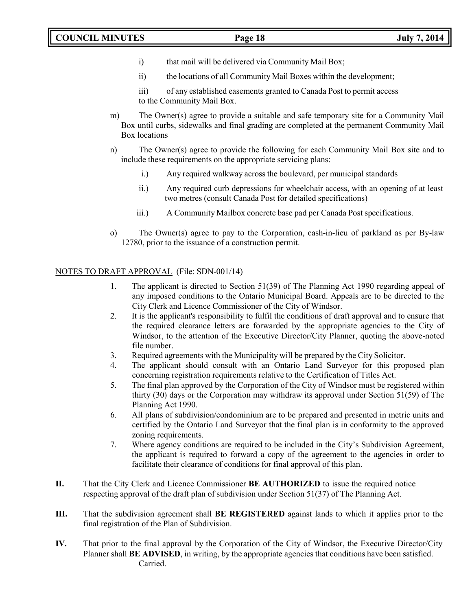- i) that mail will be delivered via Community Mail Box;
- ii) the locations of all Community Mail Boxes within the development;

iii) of any established easements granted to Canada Post to permit access to the Community Mail Box.

- m) The Owner(s) agree to provide a suitable and safe temporary site for a Community Mail Box until curbs, sidewalks and final grading are completed at the permanent Community Mail Box locations
- n) The Owner(s) agree to provide the following for each Community Mail Box site and to include these requirements on the appropriate servicing plans:
	- i.) Any required walkway across the boulevard, per municipal standards
	- ii.) Any required curb depressions for wheelchair access, with an opening of at least two metres (consult Canada Post for detailed specifications)
	- iii.) A Community Mailbox concrete base pad per Canada Post specifications.
- o) The Owner(s) agree to pay to the Corporation, cash-in-lieu of parkland as per By-law 12780, prior to the issuance of a construction permit.

# NOTES TO DRAFT APPROVAL (File: SDN-001/14)

- 1. The applicant is directed to Section 51(39) of The Planning Act 1990 regarding appeal of any imposed conditions to the Ontario Municipal Board. Appeals are to be directed to the City Clerk and Licence Commissioner of the City of Windsor.
- 2. It is the applicant's responsibility to fulfil the conditions of draft approval and to ensure that the required clearance letters are forwarded by the appropriate agencies to the City of Windsor, to the attention of the Executive Director/City Planner, quoting the above-noted file number.
- 3. Required agreements with the Municipality will be prepared by the City Solicitor.
- 4. The applicant should consult with an Ontario Land Surveyor for this proposed plan concerning registration requirements relative to the Certification of Titles Act.
- 5. The final plan approved by the Corporation of the City of Windsor must be registered within thirty (30) days or the Corporation may withdraw its approval under Section 51(59) of The Planning Act 1990.
- 6. All plans of subdivision/condominium are to be prepared and presented in metric units and certified by the Ontario Land Surveyor that the final plan is in conformity to the approved zoning requirements.
- 7. Where agency conditions are required to be included in the City's Subdivision Agreement, the applicant is required to forward a copy of the agreement to the agencies in order to facilitate their clearance of conditions for final approval of this plan.
- **II.** That the City Clerk and Licence Commissioner **BE AUTHORIZED** to issue the required notice respecting approval of the draft plan of subdivision under Section 51(37) of The Planning Act.
- **III.** That the subdivision agreement shall **BE REGISTERED** against lands to which it applies prior to the final registration of the Plan of Subdivision.
- **IV.** That prior to the final approval by the Corporation of the City of Windsor, the Executive Director/City Planner shall **BE ADVISED**, in writing, by the appropriate agencies that conditions have been satisfied. Carried.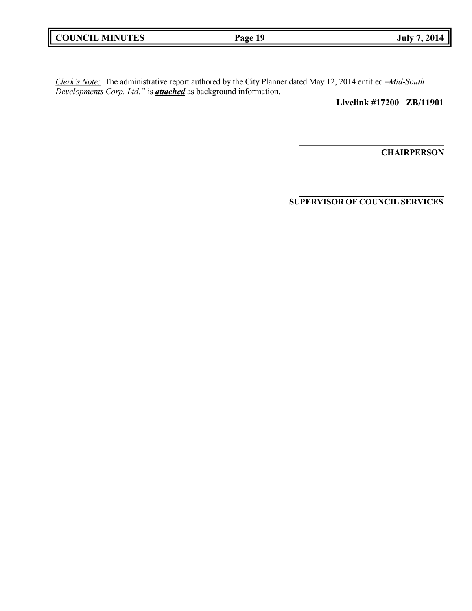|  | <b>COUNCIL MINUTES</b> |
|--|------------------------|
|--|------------------------|

*Clerk's Note:* The administrative report authored by the City Planner dated May 12, 2014 entitled ―*Mid-South Developments Corp. Ltd."* is *attached* as background information.

**Livelink #17200 ZB/11901**

**CHAIRPERSON**

**SUPERVISOR OF COUNCIL SERVICES**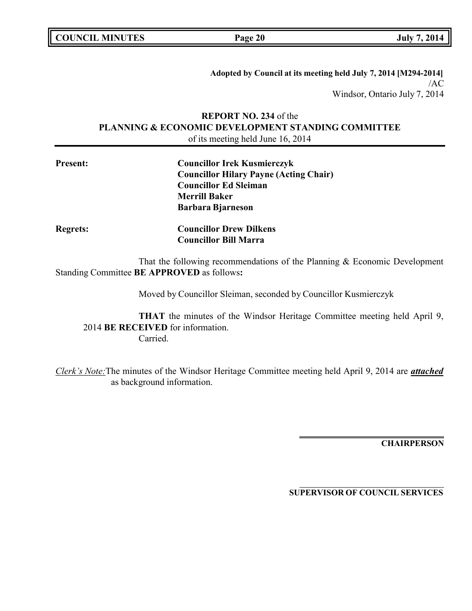**COUNCIL MINUTES Page 20 July 7, 2014**

**Adopted by Council at its meeting held July 7, 2014 [M294-2014]** /AC Windsor, Ontario July 7, 2014

# **REPORT NO. 234** of the **PLANNING & ECONOMIC DEVELOPMENT STANDING COMMITTEE** of its meeting held June 16, 2014

| <b>Present:</b> | <b>Councillor Irek Kusmierczyk</b>            |  |
|-----------------|-----------------------------------------------|--|
|                 | <b>Councillor Hilary Payne (Acting Chair)</b> |  |
|                 | <b>Councillor Ed Sleiman</b>                  |  |
|                 | <b>Merrill Baker</b>                          |  |
|                 | <b>Barbara Bjarneson</b>                      |  |
| <b>Regrets:</b> | <b>Councillor Drew Dilkens</b>                |  |
|                 | <b>Councillor Bill Marra</b>                  |  |

That the following recommendations of the Planning & Economic Development Standing Committee **BE APPROVED** as follows**:**

Moved by Councillor Sleiman, seconded by Councillor Kusmierczyk

**THAT** the minutes of the Windsor Heritage Committee meeting held April 9, 2014 **BE RECEIVED** for information. Carried.

*Clerk's Note:*The minutes of the Windsor Heritage Committee meeting held April 9, 2014 are *attached* as background information.

**CHAIRPERSON**

**SUPERVISOR OF COUNCIL SERVICES**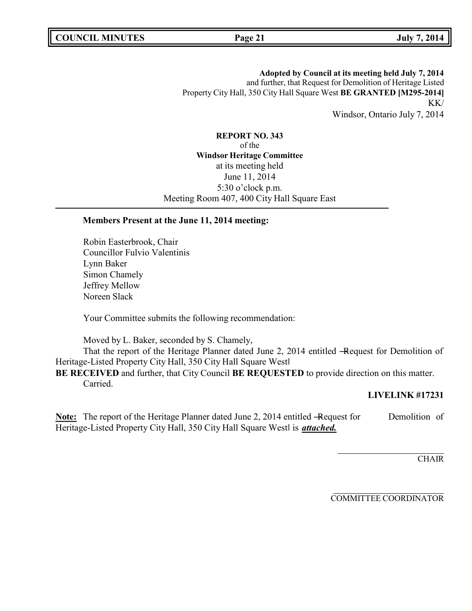**Adopted by Council at its meeting held July 7, 2014** and further, that Request for Demolition of Heritage Listed Property City Hall, 350 City Hall Square West **BE GRANTED [M295-2014]** KK/ Windsor, Ontario July 7, 2014

**REPORT NO. 343** of the **Windsor Heritage Committee** at its meeting held June 11, 2014 5:30 o'clock p.m. Meeting Room 407, 400 City Hall Square East

# **Members Present at the June 11, 2014 meeting:**

Robin Easterbrook, Chair Councillor Fulvio Valentinis Lynn Baker Simon Chamely Jeffrey Mellow Noreen Slack

Your Committee submits the following recommendation:

Moved by L. Baker, seconded by S. Chamely,

That the report of the Heritage Planner dated June 2, 2014 entitled -Request for Demolition of Heritage-Listed Property City Hall, 350 City Hall Square West‖

**BE RECEIVED** and further, that City Council **BE REQUESTED** to provide direction on this matter. Carried.

# **LIVELINK #17231**

**Note:** The report of the Heritage Planner dated June 2, 2014 entitled -Request for Demolition of Heritage-Listed Property City Hall, 350 City Hall Square Westl is *attached.* 

**CHAIR** 

COMMITTEE COORDINATOR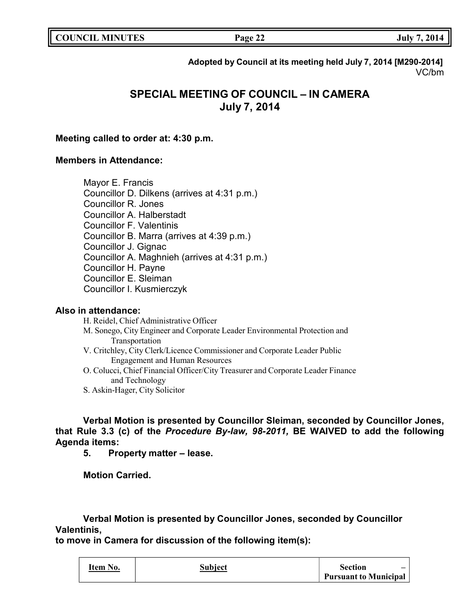**COUNCIL EXECUTE: COUNCIL EXECUTE: Page 22 July** 7, 2014

**Adopted by Council at its meeting held July 7, 2014 [M290-2014]** VC/bm

# **SPECIAL MEETING OF COUNCIL – IN CAMERA July 7, 2014**

# **Meeting called to order at: 4:30 p.m.**

# **Members in Attendance:**

Mayor E. Francis Councillor D. Dilkens (arrives at 4:31 p.m.) Councillor R. Jones Councillor A. Halberstadt Councillor F. Valentinis Councillor B. Marra (arrives at 4:39 p.m.) Councillor J. Gignac Councillor A. Maghnieh (arrives at 4:31 p.m.) Councillor H. Payne Councillor E. Sleiman Councillor I. Kusmierczyk

# **Also in attendance:**

H. Reidel, Chief Administrative Officer

- M. Sonego, City Engineer and Corporate Leader Environmental Protection and Transportation
- V. Critchley, City Clerk/Licence Commissioner and Corporate Leader Public Engagement and Human Resources
- O. Colucci, Chief Financial Officer/City Treasurer and Corporate Leader Finance and Technology
- S. Askin-Hager, City Solicitor

**Verbal Motion is presented by Councillor Sleiman, seconded by Councillor Jones, that Rule 3.3 (c) of the** *Procedure By-law, 98-2011,* **BE WAIVED to add the following Agenda items:**

**5. Property matter – lease.**

**Motion Carried.**

**Verbal Motion is presented by Councillor Jones, seconded by Councillor Valentinis,**

**to move in Camera for discussion of the following item(s):**

| Item No. | Subject | Section                      |
|----------|---------|------------------------------|
|          |         | <b>Pursuant to Municipal</b> |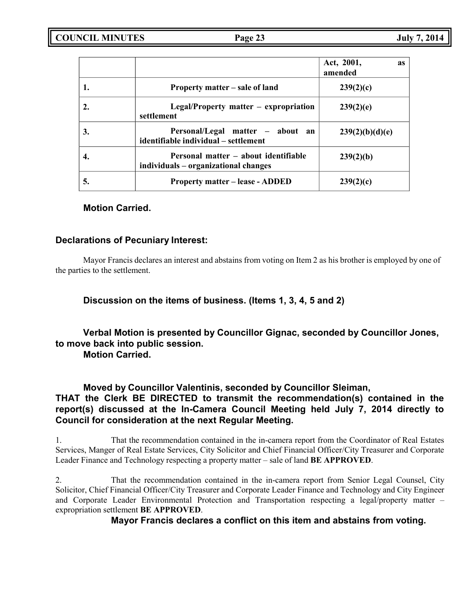|    |                                                                              | Act, 2001,<br><b>as</b><br>amended |
|----|------------------------------------------------------------------------------|------------------------------------|
|    | Property matter – sale of land                                               | 239(2)(c)                          |
|    | $Legal/Property$ matter – expropriation<br>settlement                        | 239(2)(e)                          |
| 3. | Personal/Legal matter – about<br>an<br>identifiable individual – settlement  | 239(2)(b)(d)(e)                    |
|    | Personal matter – about identifiable<br>individuals – organizational changes | 239(2)(b)                          |
| 5. | <b>Property matter – lease - ADDED</b>                                       | 239(2)(c)                          |

# **Motion Carried.**

# **Declarations of Pecuniary Interest:**

Mayor Francis declares an interest and abstains from voting on Item 2 as his brother is employed by one of the parties to the settlement.

**Discussion on the items of business. (Items 1, 3, 4, 5 and 2)**

**Verbal Motion is presented by Councillor Gignac, seconded by Councillor Jones, to move back into public session.**

**Motion Carried.**

**Moved by Councillor Valentinis, seconded by Councillor Sleiman, THAT the Clerk BE DIRECTED to transmit the recommendation(s) contained in the report(s) discussed at the In-Camera Council Meeting held July 7, 2014 directly to Council for consideration at the next Regular Meeting.**

1. That the recommendation contained in the in-camera report from the Coordinator of Real Estates Services, Manger of Real Estate Services, City Solicitor and Chief Financial Officer/City Treasurer and Corporate Leader Finance and Technology respecting a property matter – sale of land **BE APPROVED**.

2. That the recommendation contained in the in-camera report from Senior Legal Counsel, City Solicitor, Chief Financial Officer/City Treasurer and Corporate Leader Finance and Technology and City Engineer and Corporate Leader Environmental Protection and Transportation respecting a legal/property matter – expropriation settlement **BE APPROVED**.

**Mayor Francis declares a conflict on this item and abstains from voting.**